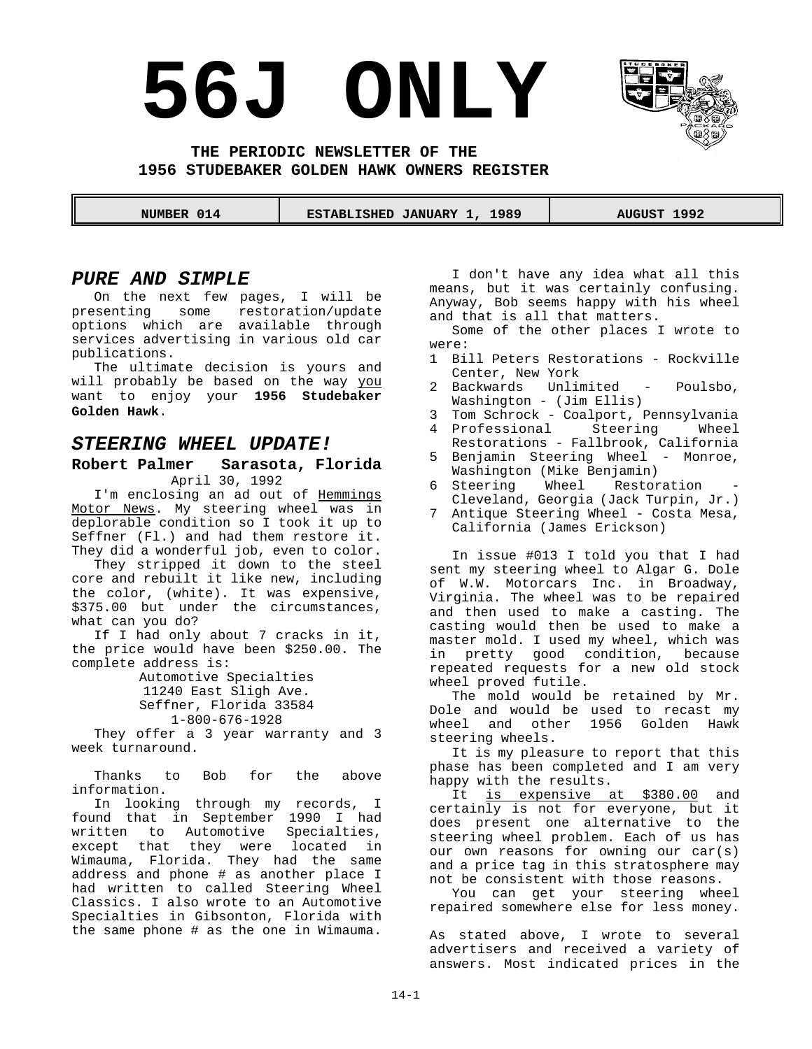# **56J ONLY**



**THE PERIODIC NEWSLETTER OF THE 1956 STUDEBAKER GOLDEN HAWK OWNERS REGISTER**

 **NUMBER 014 ESTABLISHED JANUARY 1, 1989 AUGUST 1992** 

#### *PURE AND SIMPLE*

On the next few pages, I will be presenting some restoration/update options which are available through services advertising in various old car publications.

The ultimate decision is yours and will probably be based on the way you want to enjoy your **1956 Studebaker Golden Hawk**.

#### *STEERING WHEEL UPDATE!*

#### **Robert Palmer Sarasota, Florida** April 30, 1992

I'm enclosing an ad out of Hemmings Motor News. My steering wheel was in deplorable condition so I took it up to Seffner (Fl.) and had them restore it. They did a wonderful job, even to color.

They stripped it down to the steel core and rebuilt it like new, including the color, (white). It was expensive, \$375.00 but under the circumstances, what can you do?

If I had only about 7 cracks in it, the price would have been \$250.00. The complete address is:

> Automotive Specialties 11240 East Sligh Ave. Seffner, Florida 33584 1-800-676-1928

They offer a 3 year warranty and 3 week turnaround.

Thanks to Bob for the above information.

In looking through my records, I found that in September 1990 I had written to Automotive Specialties, except that they were located in Wimauma, Florida. They had the same address and phone # as another place I had written to called Steering Wheel Classics. I also wrote to an Automotive Specialties in Gibsonton, Florida with the same phone # as the one in Wimauma.

I don't have any idea what all this means, but it was certainly confusing. Anyway, Bob seems happy with his wheel and that is all that matters.

Some of the other places I wrote to were:

- 1 Bill Peters Restorations Rockville Center, New York
- 2 Backwards Unlimited Poulsbo, Washington - (Jim Ellis)
- 3 Tom Schrock Coalport, Pennsylvania
- 4 Professional Steering Wheel Restorations - Fallbrook, California
- 5 Benjamin Steering Wheel Monroe, Washington (Mike Benjamin)
- 6 Steering Wheel Restoration Cleveland, Georgia (Jack Turpin, Jr.)
- 7 Antique Steering Wheel Costa Mesa, California (James Erickson)

In issue #013 I told you that I had sent my steering wheel to Algar G. Dole of W.W. Motorcars Inc. in Broadway, Virginia. The wheel was to be repaired and then used to make a casting. The casting would then be used to make a master mold. I used my wheel, which was in pretty good condition, because repeated requests for a new old stock wheel proved futile.

The mold would be retained by Mr. Dole and would be used to recast my wheel and other 1956 Golden Hawk steering wheels.

It is my pleasure to report that this phase has been completed and I am very happy with the results.

It is expensive at \$380.00 and certainly is not for everyone, but it does present one alternative to the steering wheel problem. Each of us has our own reasons for owning our car(s) and a price tag in this stratosphere may not be consistent with those reasons.

You can get your steering wheel repaired somewhere else for less money.

As stated above, I wrote to several advertisers and received a variety of answers. Most indicated prices in the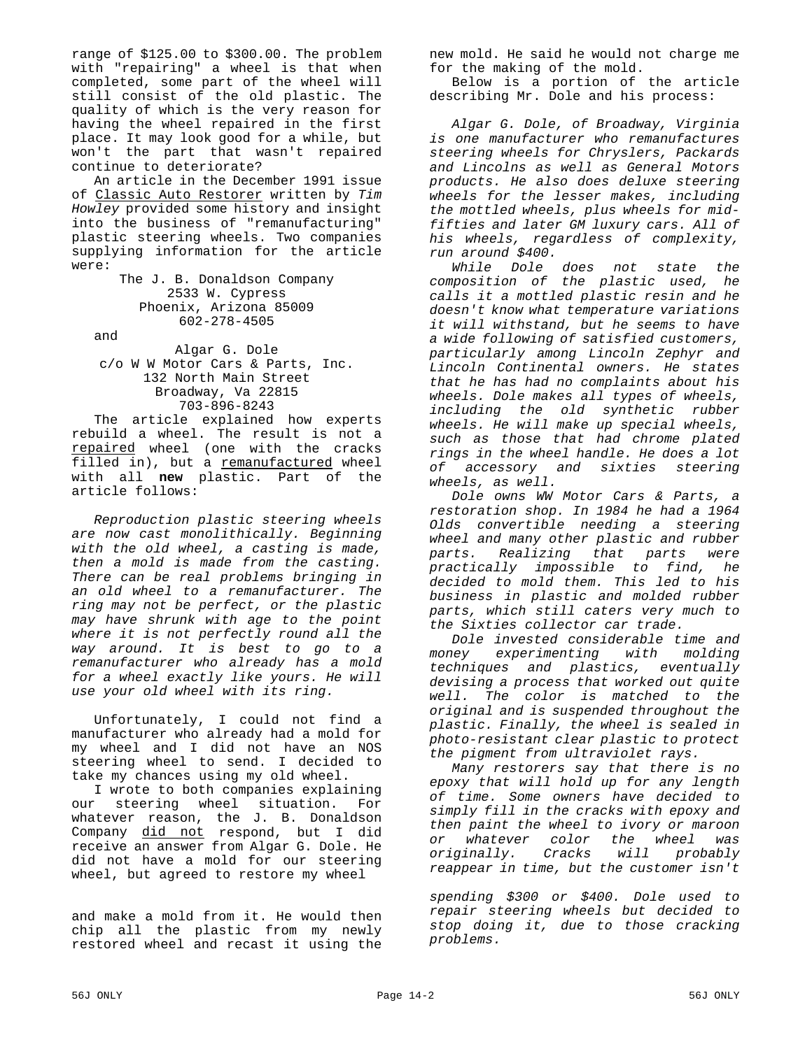range of \$125.00 to \$300.00. The problem with "repairing" a wheel is that when completed, some part of the wheel will still consist of the old plastic. The quality of which is the very reason for having the wheel repaired in the first place. It may look good for a while, but won't the part that wasn't repaired continue to deteriorate?

An article in the December 1991 issue of Classic Auto Restorer written by *Tim Howley* provided some history and insight into the business of "remanufacturing" plastic steering wheels. Two companies supplying information for the article were:

> The J. B. Donaldson Company 2533 W. Cypress Phoenix, Arizona 85009 602-278-4505

and

Algar G. Dole c/o W W Motor Cars & Parts, Inc. 132 North Main Street Broadway, Va 22815 703-896-8243

The article explained how experts rebuild a wheel. The result is not a repaired wheel (one with the cracks filled in), but a remanufactured wheel with all **new** plastic. Part of the article follows:

*Reproduction plastic steering wheels are now cast monolithically. Beginning with the old wheel, a casting is made, then a mold is made from the casting. There can be real problems bringing in an old wheel to a remanufacturer. The ring may not be perfect, or the plastic may have shrunk with age to the point where it is not perfectly round all the way around. It is best to go to a remanufacturer who already has a mold for a wheel exactly like yours. He will use your old wheel with its ring.*

Unfortunately, I could not find a manufacturer who already had a mold for my wheel and I did not have an NOS steering wheel to send. I decided to take my chances using my old wheel.

I wrote to both companies explaining our steering wheel situation. For whatever reason, the J. B. Donaldson Company <u>did not</u> respond, but I did receive an answer from Algar G. Dole. He did not have a mold for our steering wheel, but agreed to restore my wheel

and make a mold from it. He would then chip all the plastic from my newly restored wheel and recast it using the

new mold. He said he would not charge me for the making of the mold.

Below is a portion of the article describing Mr. Dole and his process:

*Algar G. Dole, of Broadway, Virginia is one manufacturer who remanufactures steering wheels for Chryslers, Packards and Lincolns as well as General Motors products. He also does deluxe steering wheels for the lesser makes, including the mottled wheels, plus wheels for midfifties and later GM luxury cars. All of his wheels, regardless of complexity, run around \$400.*

*While Dole does not state the composition of the plastic used, he calls it a mottled plastic resin and he doesn't know what temperature variations it will withstand, but he seems to have a wide following of satisfied customers, particularly among Lincoln Zephyr and Lincoln Continental owners. He states that he has had no complaints about his wheels. Dole makes all types of wheels, including the old synthetic rubber wheels. He will make up special wheels, such as those that had chrome plated rings in the wheel handle. He does a lot of accessory and sixties steering wheels, as well.*

*Dole owns WW Motor Cars & Parts, a restoration shop. In 1984 he had a 1964 Olds convertible needing a steering wheel and many other plastic and rubber parts. Realizing that parts practically impossible to find, he decided to mold them. This led to his business in plastic and molded rubber parts, which still caters very much to the Sixties collector car trade.*

*Dole invested considerable time and money experimenting with molding techniques and plastics, eventually devising a process that worked out quite well. The color is matched to the original and is suspended throughout the plastic. Finally, the wheel is sealed in photo-resistant clear plastic to protect the pigment from ultraviolet rays.*

*Many restorers say that there is no epoxy that will hold up for any length of time. Some owners have decided to simply fill in the cracks with epoxy and then paint the wheel to ivory or maroon or whatever color the wheel was originally. Cracks will probably reappear in time, but the customer isn't*

*spending \$300 or \$400. Dole used to repair steering wheels but decided to stop doing it, due to those cracking problems.*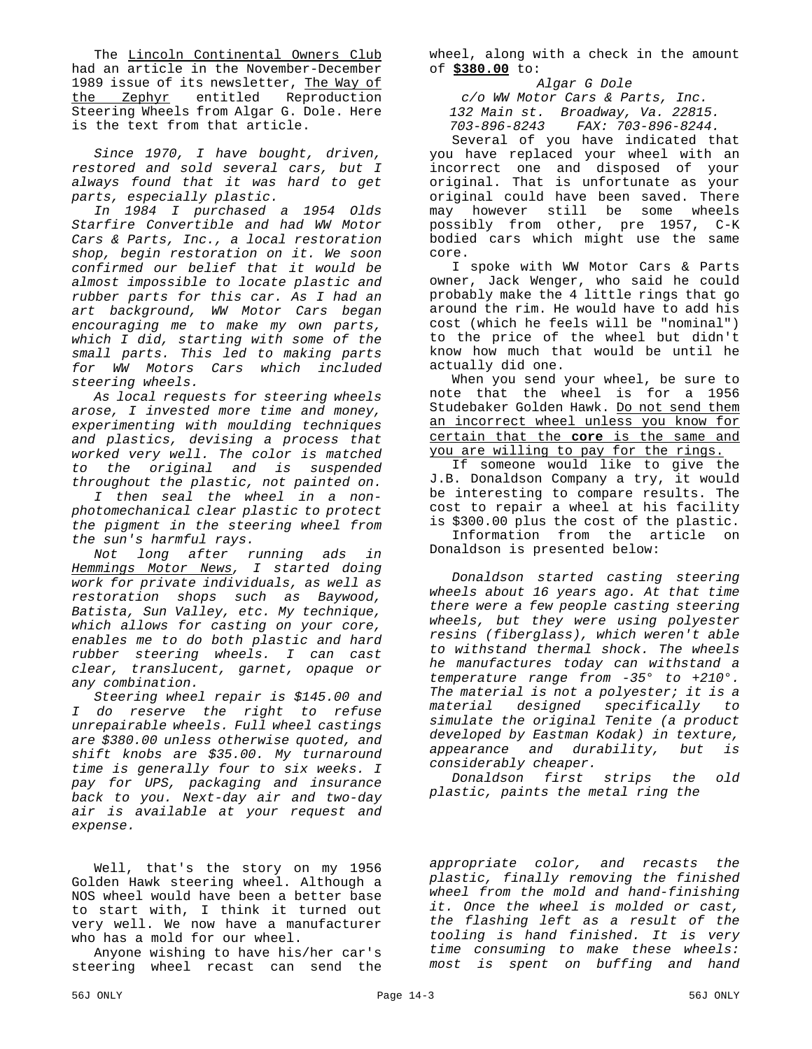The Lincoln Continental Owners Club had an article in the November-December 1989 issue of its newsletter, The Way of the Zephyr entitled Reproduction Steering Wheels from Algar G. Dole. Here is the text from that article.

*Since 1970, I have bought, driven, restored and sold several cars, but I always found that it was hard to get parts, especially plastic.*

*In 1984 I purchased a 1954 Olds Starfire Convertible and had WW Motor Cars & Parts, Inc., a local restoration shop, begin restoration on it. We soon confirmed our belief that it would be almost impossible to locate plastic and rubber parts for this car. As I had an art background, WW Motor Cars began encouraging me to make my own parts, which I did, starting with some of the small parts. This led to making parts for WW Motors Cars which included steering wheels.*

*As local requests for steering wheels arose, I invested more time and money, experimenting with moulding techniques and plastics, devising a process that worked very well. The color is matched to the original and is suspended throughout the plastic, not painted on.*

*I then seal the wheel in a nonphotomechanical clear plastic to protect the pigment in the steering wheel from the sun's harmful rays.*

*Not long after running ads in Hemmings Motor News, I started doing work for private individuals, as well as restoration shops such as Baywood, Batista, Sun Valley, etc. My technique, which allows for casting on your core, enables me to do both plastic and hard rubber steering wheels. I can cast clear, translucent, garnet, opaque or any combination.*

*Steering wheel repair is \$145.00 and I do reserve the right to refuse unrepairable wheels. Full wheel castings are \$380.00 unless otherwise quoted, and shift knobs are \$35.00. My turnaround time is generally four to six weeks. I pay for UPS, packaging and insurance back to you. Next-day air and two-day air is available at your request and expense.*

Well, that's the story on my 1956 Golden Hawk steering wheel. Although a NOS wheel would have been a better base to start with, I think it turned out very well. We now have a manufacturer who has a mold for our wheel.

Anyone wishing to have his/her car's steering wheel recast can send the wheel, along with a check in the amount of **\$380.00** to:

*Algar G Dole c/o WW Motor Cars & Parts, Inc. 132 Main st. Broadway, Va. 22815. 703-896-8243 FAX: 703-896-8244.*

Several of you have indicated that you have replaced your wheel with an incorrect one and disposed of your original. That is unfortunate as your original could have been saved. There may however still be some wheels possibly from other, pre 1957, C-K bodied cars which might use the same core.

I spoke with WW Motor Cars & Parts owner, Jack Wenger, who said he could probably make the 4 little rings that go around the rim. He would have to add his cost (which he feels will be "nominal") to the price of the wheel but didn't know how much that would be until he actually did one.

When you send your wheel, be sure to note that the wheel is for a 1956 Studebaker Golden Hawk. Do not send them an incorrect wheel unless you know for certain that the **core** is the same and you are willing to pay for the rings.

If someone would like to give the J.B. Donaldson Company a try, it would be interesting to compare results. The cost to repair a wheel at his facility is \$300.00 plus the cost of the plastic.

Information from the article on Donaldson is presented below:

*Donaldson started casting steering wheels about 16 years ago. At that time there were a few people casting steering wheels, but they were using polyester resins (fiberglass), which weren't able to withstand thermal shock. The wheels he manufactures today can withstand a temperature range from -35° to +210°. The material is not a polyester; it is a material designed specifically to simulate the original Tenite (a product developed by Eastman Kodak) in texture, appearance and durability, but is considerably cheaper.*

*Donaldson first strips the old plastic, paints the metal ring the* 

*appropriate color, and recasts the plastic, finally removing the finished wheel from the mold and hand-finishing it. Once the wheel is molded or cast, the flashing left as a result of the tooling is hand finished. It is very time consuming to make these wheels: most is spent on buffing and hand*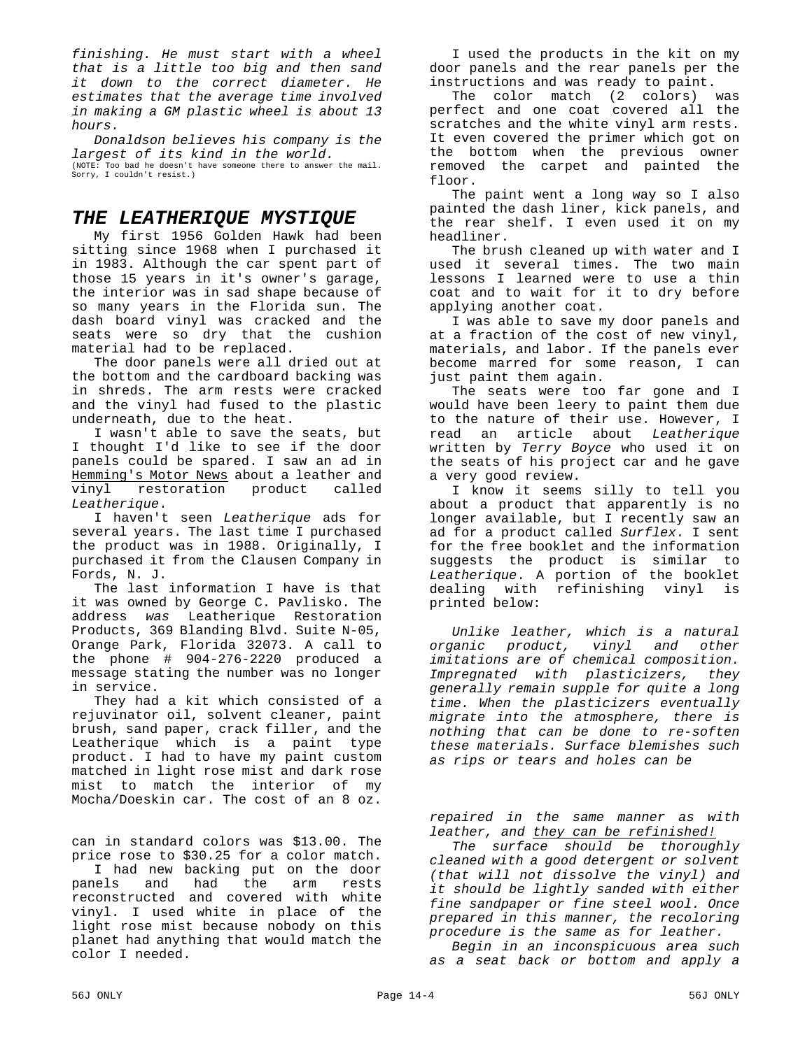*finishing. He must start with a wheel that is a little too big and then sand it down to the correct diameter. He estimates that the average time involved in making a GM plastic wheel is about 13 hours.*

*Donaldson believes his company is the largest of its kind in the world.* (NOTE: Too bad he doesn't have someone there to answer the mail. Sorry, I couldn't resist.)

#### *THE LEATHERIQUE MYSTIQUE*

My first 1956 Golden Hawk had been sitting since 1968 when I purchased it in 1983. Although the car spent part of those 15 years in it's owner's garage, the interior was in sad shape because of so many years in the Florida sun. The dash board vinyl was cracked and the seats were so dry that the cushion material had to be replaced.

The door panels were all dried out at the bottom and the cardboard backing was in shreds. The arm rests were cracked and the vinyl had fused to the plastic underneath, due to the heat.

I wasn't able to save the seats, but I thought I'd like to see if the door panels could be spared. I saw an ad in Hemming's Motor News about a leather and vinyl restoration product called *Leatherique*.

I haven't seen *Leatherique* ads for several years. The last time I purchased the product was in 1988. Originally, I purchased it from the Clausen Company in Fords, N. J.

The last information I have is that it was owned by George C. Pavlisko. The address *was* Leatherique Restoration Products, 369 Blanding Blvd. Suite N-05, Orange Park, Florida 32073. A call to the phone # 904-276-2220 produced a message stating the number was no longer in service.

They had a kit which consisted of a rejuvinator oil, solvent cleaner, paint brush, sand paper, crack filler, and the Leatherique which is a paint type product. I had to have my paint custom matched in light rose mist and dark rose mist to match the interior of my Mocha/Doeskin car. The cost of an 8 oz.

can in standard colors was \$13.00. The price rose to \$30.25 for a color match.

I had new backing put on the door panels and had the arm rests reconstructed and covered with white vinyl. I used white in place of the light rose mist because nobody on this planet had anything that would match the color I needed.

I used the products in the kit on my door panels and the rear panels per the instructions and was ready to paint.

The color match (2 colors) was perfect and one coat covered all the scratches and the white vinyl arm rests. It even covered the primer which got on the bottom when the previous owner removed the carpet and painted the floor.

The paint went a long way so I also painted the dash liner, kick panels, and the rear shelf. I even used it on my headliner.

The brush cleaned up with water and I used it several times. The two main lessons I learned were to use a thin coat and to wait for it to dry before applying another coat.

I was able to save my door panels and at a fraction of the cost of new vinyl, materials, and labor. If the panels ever become marred for some reason, I can just paint them again.

The seats were too far gone and I would have been leery to paint them due to the nature of their use. However, I read an article about *Leatherique* written by *Terry Boyce* who used it on the seats of his project car and he gave a very good review.

I know it seems silly to tell you about a product that apparently is no longer available, but I recently saw an ad for a product called *Surflex*. I sent for the free booklet and the information suggests the product is similar to *Leatherique*. A portion of the booklet dealing with refinishing vinyl is printed below:

*Unlike leather, which is a natural organic product, vinyl and other imitations are of chemical composition. Impregnated with plasticizers, they generally remain supple for quite a long time. When the plasticizers eventually migrate into the atmosphere, there is nothing that can be done to re-soften these materials. Surface blemishes such as rips or tears and holes can be* 

*repaired in the same manner as with leather, and they can be refinished!*

*The surface should be thoroughly cleaned with a good detergent or solvent (that will not dissolve the vinyl) and it should be lightly sanded with either fine sandpaper or fine steel wool. Once prepared in this manner, the recoloring procedure is the same as for leather.*

*Begin in an inconspicuous area such as a seat back or bottom and apply a*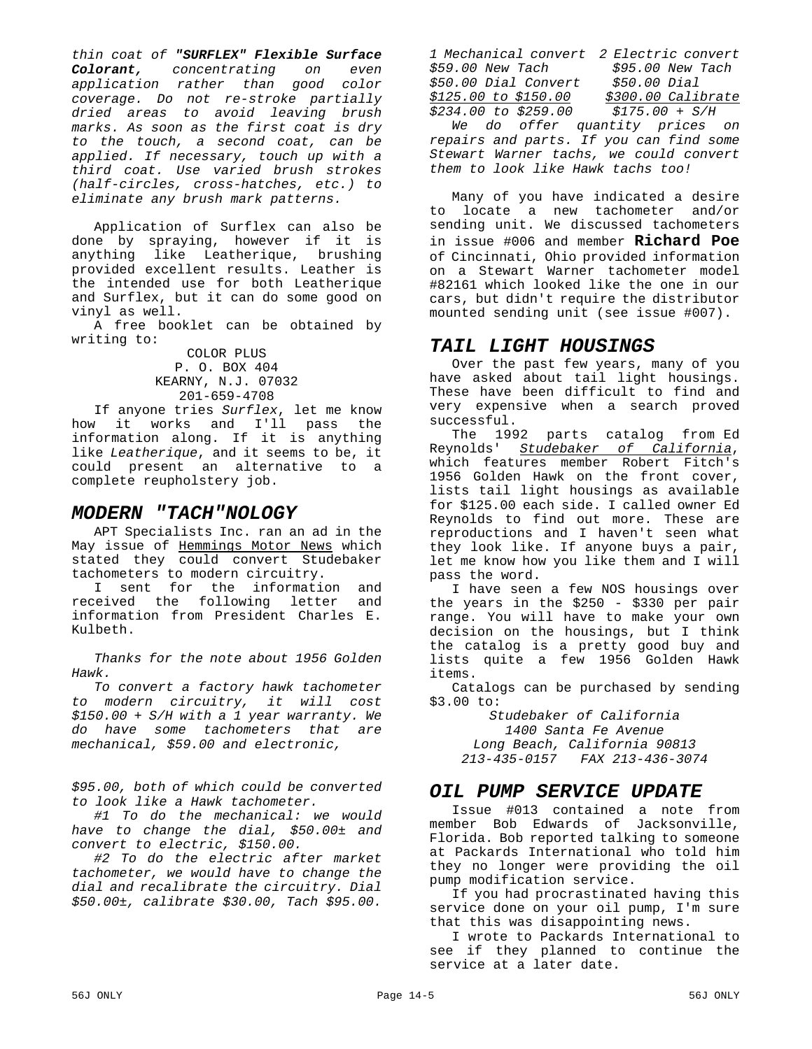*thin coat of "SURFLEX" Flexible Surface Colorant, concentrating on even application rather than good color coverage. Do not re-stroke partially dried areas to avoid leaving brush marks. As soon as the first coat is dry to the touch, a second coat, can be applied. If necessary, touch up with a third coat. Use varied brush strokes (half-circles, cross-hatches, etc.) to eliminate any brush mark patterns.*

Application of Surflex can also be done by spraying, however if it is anything like Leatherique, brushing provided excellent results. Leather is the intended use for both Leatherique and Surflex, but it can do some good on vinyl as well.

A free booklet can be obtained by writing to:

#### COLOR PLUS P. O. BOX 404 KEARNY, N.J. 07032 201-659-4708

If anyone tries *Surflex*, let me know how it works and I'll pass the information along. If it is anything like *Leatherique*, and it seems to be, it could present an alternative to a complete reupholstery job.

## *MODERN "TACH"NOLOGY*

APT Specialists Inc. ran an ad in the May issue of Hemmings Motor News which stated they could convert Studebaker tachometers to modern circuitry.

I sent for the information and received the following letter and information from President Charles E. Kulbeth.

*Thanks for the note about 1956 Golden Hawk.*

*To convert a factory hawk tachometer to modern circuitry, it will cost \$150.00 + S/H with a 1 year warranty. We do have some tachometers that are mechanical, \$59.00 and electronic,* 

*\$95.00, both of which could be converted to look like a Hawk tachometer.*

*#1 To do the mechanical: we would have to change the dial, \$50.00± and convert to electric, \$150.00.*

*#2 To do the electric after market tachometer, we would have to change the dial and recalibrate the circuitry. Dial \$50.00±, calibrate \$30.00, Tach \$95.00.*

*1 Mechanical convert 2 Electric convert \$59.00 New Tach \$95.00 New Tach \$50.00 Dial Convert \$50.00 Dial \$125.00 to \$150.00 \$300.00 Calibrate \$234.00 to \$259.00 \$175.00 + S/H We do offer quantity prices on repairs and parts. If you can find some Stewart Warner tachs, we could convert them to look like Hawk tachs too!*

Many of you have indicated a desire to locate a new tachometer and/or sending unit. We discussed tachometers in issue #006 and member **Richard Poe** of Cincinnati, Ohio provided information on a Stewart Warner tachometer model #82161 which looked like the one in our cars, but didn't require the distributor mounted sending unit (see issue #007).

# *TAIL LIGHT HOUSINGS*

Over the past few years, many of you have asked about tail light housings. These have been difficult to find and very expensive when a search proved successful.

 The 1992 parts catalog from Ed Reynolds' *Studebaker of California*, which features member Robert Fitch's 1956 Golden Hawk on the front cover, lists tail light housings as available for \$125.00 each side. I called owner Ed Reynolds to find out more. These are reproductions and I haven't seen what they look like. If anyone buys a pair, let me know how you like them and I will pass the word.

I have seen a few NOS housings over the years in the \$250 - \$330 per pair range. You will have to make your own decision on the housings, but I think the catalog is a pretty good buy and lists quite a few 1956 Golden Hawk items.

Catalogs can be purchased by sending \$3.00 to:

*Studebaker of California 1400 Santa Fe Avenue Long Beach, California 90813 213-435-0157 FAX 213-436-3074*

# *OIL PUMP SERVICE UPDATE*

Issue #013 contained a note from member Bob Edwards of Jacksonville, Florida. Bob reported talking to someone at Packards International who told him they no longer were providing the oil pump modification service.

If you had procrastinated having this service done on your oil pump, I'm sure that this was disappointing news.

I wrote to Packards International to see if they planned to continue the service at a later date.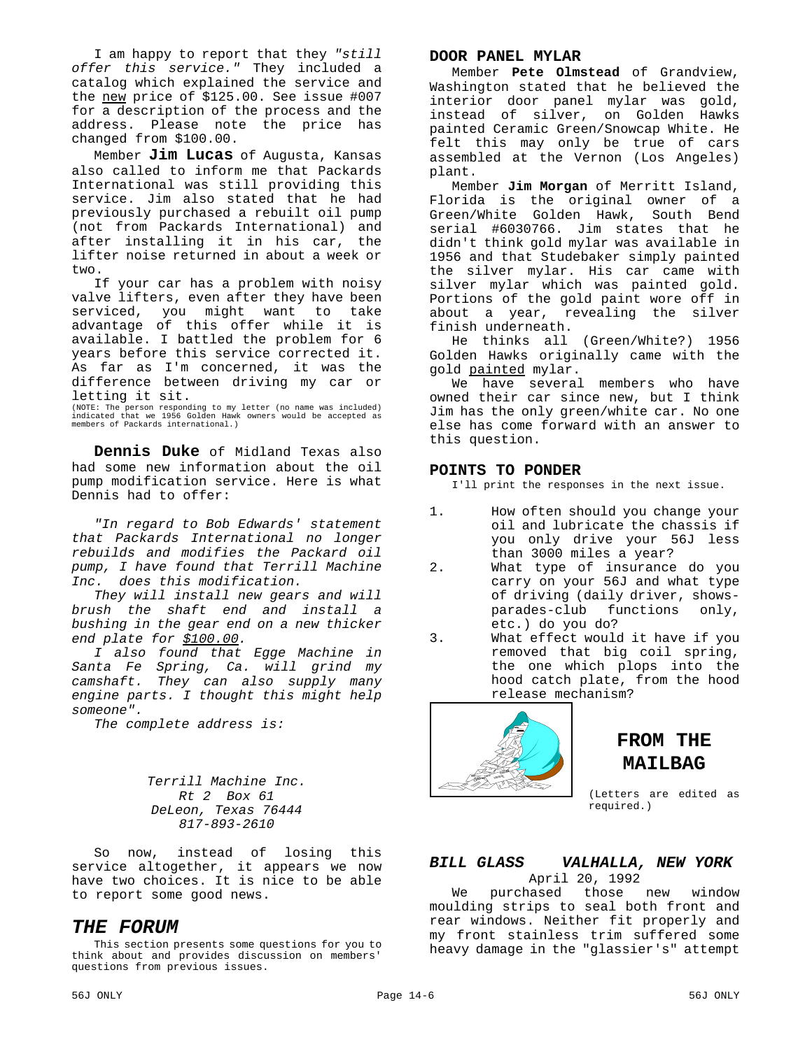I am happy to report that they *"still offer this service."* They included a catalog which explained the service and the new price of \$125.00. See issue #007 for a description of the process and the address. Please note the price has changed from \$100.00.

Member **Jim Lucas** of Augusta, Kansas also called to inform me that Packards International was still providing this service. Jim also stated that he had previously purchased a rebuilt oil pump (not from Packards International) and after installing it in his car, the lifter noise returned in about a week or two.

If your car has a problem with noisy valve lifters, even after they have been serviced, you might want to take advantage of this offer while it is available. I battled the problem for 6 years before this service corrected it. As far as I'm concerned, it was the difference between driving my car or letting it sit.

(NOTE: The person responding to my letter (no name was included) indicated that we 1956 Golden Hawk owners would be accepted as members of Packards international.)

**Dennis Duke** of Midland Texas also had some new information about the oil pump modification service. Here is what Dennis had to offer:

*"In regard to Bob Edwards' statement that Packards International no longer rebuilds and modifies the Packard oil pump, I have found that Terrill Machine Inc. does this modification.*

*They will install new gears and will brush the shaft end and install a bushing in the gear end on a new thicker end plate for \$100.00.*

*I also found that Egge Machine in Santa Fe Spring, Ca. will grind my camshaft. They can also supply many engine parts. I thought this might help someone".*

*The complete address is:*

*Terrill Machine Inc. Rt 2 Box 61 DeLeon, Texas 76444 817-893-2610*

So now, instead of losing this service altogether, it appears we now have two choices. It is nice to be able to report some good news.

#### *THE FORUM*

This section presents some questions for you to think about and provides discussion on members' questions from previous issues.

#### **DOOR PANEL MYLAR**

Member **Pete Olmstead** of Grandview, Washington stated that he believed the interior door panel mylar was gold, instead of silver, on Golden Hawks painted Ceramic Green/Snowcap White. He felt this may only be true of cars assembled at the Vernon (Los Angeles) plant.

Member **Jim Morgan** of Merritt Island, Florida is the original owner of a Green/White Golden Hawk, South Bend serial #6030766. Jim states that he didn't think gold mylar was available in 1956 and that Studebaker simply painted the silver mylar. His car came with silver mylar which was painted gold. Portions of the gold paint wore off in about a year, revealing the silver finish underneath.

He thinks all (Green/White?) 1956 Golden Hawks originally came with the gold painted mylar.

We have several members who have owned their car since new, but I think Jim has the only green/white car. No one else has come forward with an answer to this question.

#### **POINTS TO PONDER**

I'll print the responses in the next issue.

- 1. How often should you change your oil and lubricate the chassis if you only drive your 56J less than 3000 miles a year?
- 2. What type of insurance do you carry on your 56J and what type of driving (daily driver, showsparades-club functions only, etc.) do you do?
- 3. What effect would it have if you removed that big coil spring, the one which plops into the hood catch plate, from the hood release mechanism?



# **FROM THE MAILBAG**

(Letters are edited as required.)

#### *BILL GLASS VALHALLA, NEW YORK* April 20, 1992

We purchased those new window moulding strips to seal both front and rear windows. Neither fit properly and my front stainless trim suffered some heavy damage in the "glassier's" attempt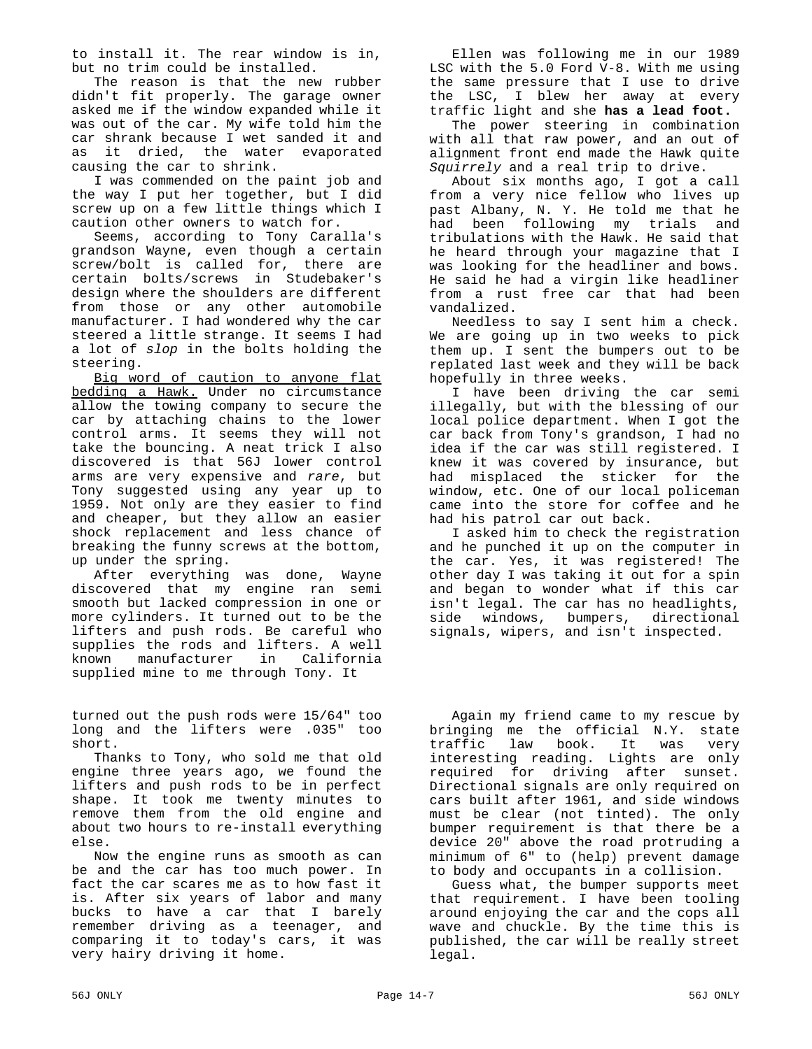to install it. The rear window is in, but no trim could be installed.

The reason is that the new rubber didn't fit properly. The garage owner asked me if the window expanded while it was out of the car. My wife told him the car shrank because I wet sanded it and as it dried, the water evaporated causing the car to shrink.

I was commended on the paint job and the way I put her together, but I did screw up on a few little things which I caution other owners to watch for.

Seems, according to Tony Caralla's grandson Wayne, even though a certain screw/bolt is called for, there are certain bolts/screws in Studebaker's design where the shoulders are different from those or any other automobile manufacturer. I had wondered why the car steered a little strange. It seems I had a lot of *slop* in the bolts holding the steering.

Big word of caution to anyone flat bedding a Hawk. Under no circumstance allow the towing company to secure the car by attaching chains to the lower control arms. It seems they will not take the bouncing. A neat trick I also discovered is that 56J lower control arms are very expensive and *rare*, but Tony suggested using any year up to 1959. Not only are they easier to find and cheaper, but they allow an easier shock replacement and less chance of breaking the funny screws at the bottom, up under the spring.

After everything was done, Wayne discovered that my engine ran semi smooth but lacked compression in one or more cylinders. It turned out to be the lifters and push rods. Be careful who supplies the rods and lifters. A well known manufacturer in California supplied mine to me through Tony. It

turned out the push rods were 15/64" too long and the lifters were .035" too short.

Thanks to Tony, who sold me that old engine three years ago, we found the lifters and push rods to be in perfect shape. It took me twenty minutes to remove them from the old engine and about two hours to re-install everything else.

Now the engine runs as smooth as can be and the car has too much power. In fact the car scares me as to how fast it is. After six years of labor and many bucks to have a car that I barely remember driving as a teenager, and comparing it to today's cars, it was very hairy driving it home.

Ellen was following me in our 1989 LSC with the 5.0 Ford V-8. With me using the same pressure that I use to drive the LSC, I blew her away at every traffic light and she **has a lead foot.**

The power steering in combination with all that raw power, and an out of alignment front end made the Hawk quite *Squirrely* and a real trip to drive.

About six months ago, I got a call from a very nice fellow who lives up past Albany, N. Y. He told me that he had been following my trials and tribulations with the Hawk. He said that he heard through your magazine that I was looking for the headliner and bows. He said he had a virgin like headliner from a rust free car that had been vandalized.

Needless to say I sent him a check. We are going up in two weeks to pick them up. I sent the bumpers out to be replated last week and they will be back hopefully in three weeks.

I have been driving the car semi illegally, but with the blessing of our local police department. When I got the car back from Tony's grandson, I had no idea if the car was still registered. I knew it was covered by insurance, but had misplaced the sticker for the window, etc. One of our local policeman came into the store for coffee and he had his patrol car out back.

I asked him to check the registration and he punched it up on the computer in the car. Yes, it was registered! The other day I was taking it out for a spin and began to wonder what if this car isn't legal. The car has no headlights, side windows, bumpers, directional signals, wipers, and isn't inspected.

Again my friend came to my rescue by bringing me the official N.Y. state traffic law book. It was very interesting reading. Lights are only required for driving after sunset. Directional signals are only required on cars built after 1961, and side windows must be clear (not tinted). The only bumper requirement is that there be a device 20" above the road protruding a minimum of 6" to (help) prevent damage to body and occupants in a collision.

Guess what, the bumper supports meet that requirement. I have been tooling around enjoying the car and the cops all wave and chuckle. By the time this is published, the car will be really street legal.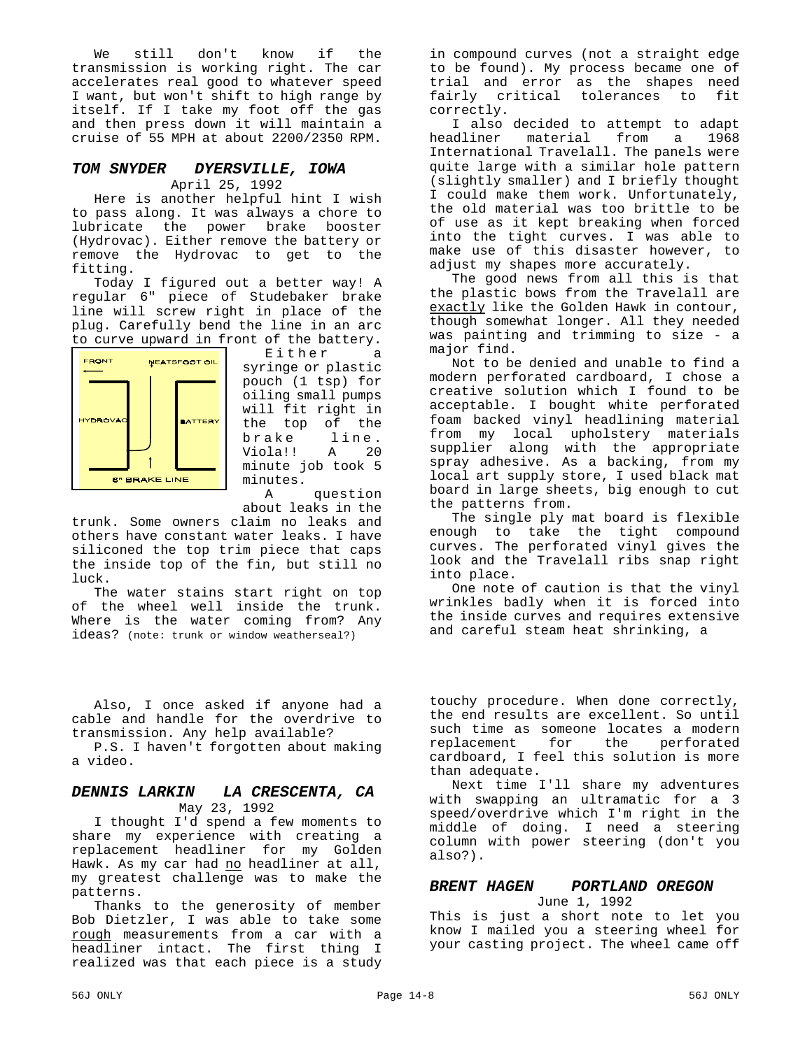We still don't know if the transmission is working right. The car accelerates real good to whatever speed I want, but won't shift to high range by itself. If I take my foot off the gas and then press down it will maintain a cruise of 55 MPH at about 2200/2350 RPM.

#### *TOM SNYDER DYERSVILLE, IOWA* April 25, 1992

Here is another helpful hint I wish to pass along. It was always a chore to lubricate the power brake booster (Hydrovac). Either remove the battery or remove the Hydrovac to get to the fitting.

Today I figured out a better way! A regular 6" piece of Studebaker brake line will screw right in place of the plug. Carefully bend the line in an arc to curve upward in front of the battery.



Either a syringe or plastic pouch (1 tsp) for oiling small pumps will fit right in the top of the<br>brake line. brake line.<br>Viola!! A 20 A 20 minute job took 5 minutes.

A question about leaks in the

trunk. Some owners claim no leaks and others have constant water leaks. I have siliconed the top trim piece that caps the inside top of the fin, but still no luck.

The water stains start right on top of the wheel well inside the trunk. Where is the water coming from? Any ideas? (note: trunk or window weatherseal?)

Also, I once asked if anyone had a cable and handle for the overdrive to transmission. Any help available?

P.S. I haven't forgotten about making a video.

#### *DENNIS LARKIN LA CRESCENTA, CA* May 23, 1992

I thought I'd spend a few moments to share my experience with creating a replacement headliner for my Golden Hawk. As my car had no headliner at all, my greatest challenge was to make the patterns.

Thanks to the generosity of member Bob Dietzler, I was able to take some rough measurements from a car with a headliner intact. The first thing I realized was that each piece is a study

in compound curves (not a straight edge to be found). My process became one of trial and error as the shapes need fairly critical tolerances to fit correctly.

I also decided to attempt to adapt headliner material from a 1968 International Travelall. The panels were quite large with a similar hole pattern (slightly smaller) and I briefly thought I could make them work. Unfortunately, the old material was too brittle to be of use as it kept breaking when forced into the tight curves. I was able to make use of this disaster however, to adjust my shapes more accurately.

The good news from all this is that the plastic bows from the Travelall are exactly like the Golden Hawk in contour, though somewhat longer. All they needed was painting and trimming to size - a major find.

Not to be denied and unable to find a modern perforated cardboard, I chose a creative solution which I found to be acceptable. I bought white perforated foam backed vinyl headlining material from my local upholstery materials supplier along with the appropriate spray adhesive. As a backing, from my local art supply store, I used black mat board in large sheets, big enough to cut the patterns from.

The single ply mat board is flexible enough to take the tight compound curves. The perforated vinyl gives the look and the Travelall ribs snap right into place.

One note of caution is that the vinyl wrinkles badly when it is forced into the inside curves and requires extensive and careful steam heat shrinking, a

touchy procedure. When done correctly, the end results are excellent. So until such time as someone locates a modern replacement for the perforated cardboard, I feel this solution is more than adequate.

Next time I'll share my adventures with swapping an ultramatic for a 3 speed/overdrive which I'm right in the middle of doing. I need a steering column with power steering (don't you also?).

#### *BRENT HAGEN PORTLAND OREGON*

June 1, 1992

This is just a short note to let you know I mailed you a steering wheel for your casting project. The wheel came off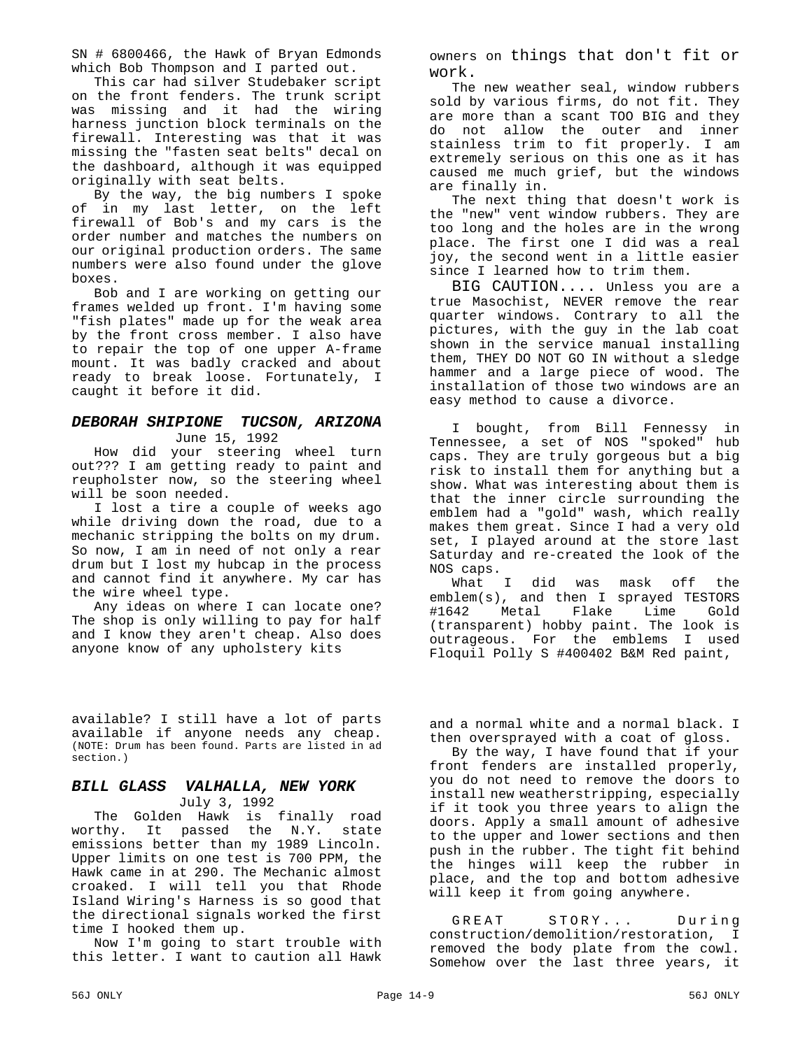SN # 6800466, the Hawk of Bryan Edmonds which Bob Thompson and I parted out.

This car had silver Studebaker script on the front fenders. The trunk script was missing and it had the wiring harness junction block terminals on the firewall. Interesting was that it was missing the "fasten seat belts" decal on the dashboard, although it was equipped originally with seat belts.

By the way, the big numbers I spoke of in my last letter, on the left firewall of Bob's and my cars is the order number and matches the numbers on our original production orders. The same numbers were also found under the glove boxes.

Bob and I are working on getting our frames welded up front. I'm having some "fish plates" made up for the weak area by the front cross member. I also have to repair the top of one upper A-frame mount. It was badly cracked and about ready to break loose. Fortunately, I caught it before it did.

#### *DEBORAH SHIPIONE TUCSON, ARIZONA* June 15, 1992

How did your steering wheel turn out??? I am getting ready to paint and reupholster now, so the steering wheel will be soon needed.

I lost a tire a couple of weeks ago while driving down the road, due to a mechanic stripping the bolts on my drum. So now, I am in need of not only a rear drum but I lost my hubcap in the process and cannot find it anywhere. My car has the wire wheel type.

Any ideas on where I can locate one? The shop is only willing to pay for half and I know they aren't cheap. Also does anyone know of any upholstery kits

available? I still have a lot of parts available if anyone needs any cheap. (NOTE: Drum has been found. Parts are listed in ad section.)

#### *BILL GLASS VALHALLA, NEW YORK* July 3, 1992

The Golden Hawk is finally road worthy. It passed the N.Y. state emissions better than my 1989 Lincoln. Upper limits on one test is 700 PPM, the Hawk came in at 290. The Mechanic almost croaked. I will tell you that Rhode Island Wiring's Harness is so good that the directional signals worked the first time I hooked them up.

Now I'm going to start trouble with this letter. I want to caution all Hawk owners on things that don't fit or work.

The new weather seal, window rubbers sold by various firms, do not fit. They are more than a scant TOO BIG and they do not allow the outer and inner stainless trim to fit properly. I am extremely serious on this one as it has caused me much grief, but the windows are finally in.

The next thing that doesn't work is the "new" vent window rubbers. They are too long and the holes are in the wrong place. The first one I did was a real joy, the second went in a little easier since I learned how to trim them.

BIG CAUTION.... Unless you are a true Masochist, NEVER remove the rear quarter windows. Contrary to all the pictures, with the guy in the lab coat shown in the service manual installing them, THEY DO NOT GO IN without a sledge hammer and a large piece of wood. The installation of those two windows are an easy method to cause a divorce.

I bought, from Bill Fennessy in Tennessee, a set of NOS "spoked" hub caps. They are truly gorgeous but a big risk to install them for anything but a show. What was interesting about them is that the inner circle surrounding the emblem had a "gold" wash, which really makes them great. Since I had a very old set, I played around at the store last Saturday and re-created the look of the NOS caps.

What I did was mask off the emblem(s), and then I sprayed TESTORS #1642 Metal Flake Lime Gold (transparent) hobby paint. The look is outrageous. For the emblems I used Floquil Polly S #400402 B&M Red paint,

and a normal white and a normal black. I then oversprayed with a coat of gloss.

By the way, I have found that if your front fenders are installed properly, you do not need to remove the doors to install new weatherstripping, especially if it took you three years to align the doors. Apply a small amount of adhesive to the upper and lower sections and then push in the rubber. The tight fit behind the hinges will keep the rubber in place, and the top and bottom adhesive will keep it from going anywhere.

GREAT STORY... During construction/demolition/restoration, I removed the body plate from the cowl. Somehow over the last three years, it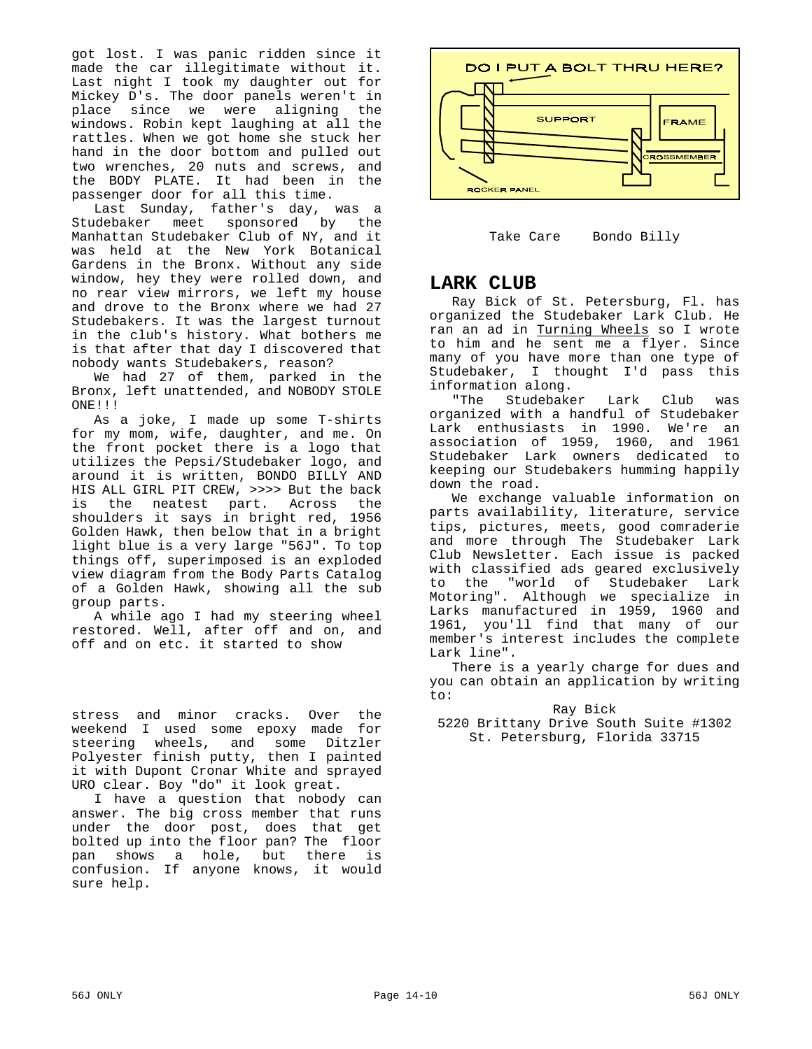got lost. I was panic ridden since it made the car illegitimate without it. Last night I took my daughter out for Mickey D's. The door panels weren't in place since we were aligning the windows. Robin kept laughing at all the rattles. When we got home she stuck her hand in the door bottom and pulled out two wrenches, 20 nuts and screws, and the BODY PLATE. It had been in the passenger door for all this time.

Last Sunday, father's day, was a Studebaker meet sponsored by the Manhattan Studebaker Club of NY, and it was held at the New York Botanical Gardens in the Bronx. Without any side window, hey they were rolled down, and no rear view mirrors, we left my house and drove to the Bronx where we had 27 Studebakers. It was the largest turnout in the club's history. What bothers me is that after that day I discovered that nobody wants Studebakers, reason?

We had 27 of them, parked in the Bronx, left unattended, and NOBODY STOLE ONE!!!

As a joke, I made up some T-shirts for my mom, wife, daughter, and me. On the front pocket there is a logo that utilizes the Pepsi/Studebaker logo, and around it is written, BONDO BILLY AND HIS ALL GIRL PIT CREW, >>>> But the back is the neatest part. Across the shoulders it says in bright red, 1956 Golden Hawk, then below that in a bright light blue is a very large "56J". To top things off, superimposed is an exploded view diagram from the Body Parts Catalog of a Golden Hawk, showing all the sub group parts.

A while ago I had my steering wheel restored. Well, after off and on, and off and on etc. it started to show

stress and minor cracks. Over the weekend I used some epoxy made for steering wheels, and some Ditzler Polyester finish putty, then I painted it with Dupont Cronar White and sprayed URO clear. Boy "do" it look great.

I have a question that nobody can answer. The big cross member that runs under the door post, does that get bolted up into the floor pan? The floor pan shows a hole, but there is confusion. If anyone knows, it would sure help.



Take Care Bondo Billy

# **LARK CLUB**

Ray Bick of St. Petersburg, Fl. has organized the Studebaker Lark Club. He ran an ad in <u>Turning Wheels</u> so I wrote to him and he sent me a flyer. Since many of you have more than one type of Studebaker, I thought I'd pass this information along.

"The Studebaker Lark Club was organized with a handful of Studebaker Lark enthusiasts in 1990. We're an association of 1959, 1960, and 1961 Studebaker Lark owners dedicated to keeping our Studebakers humming happily down the road.

We exchange valuable information on parts availability, literature, service tips, pictures, meets, good comraderie and more through The Studebaker Lark Club Newsletter. Each issue is packed with classified ads geared exclusively to the "world of Studebaker Lark Motoring". Although we specialize in Larks manufactured in 1959, 1960 and 1961, you'll find that many of our member's interest includes the complete Lark line".

There is a yearly charge for dues and you can obtain an application by writing to:

Ray Bick 5220 Brittany Drive South Suite #1302 St. Petersburg, Florida 33715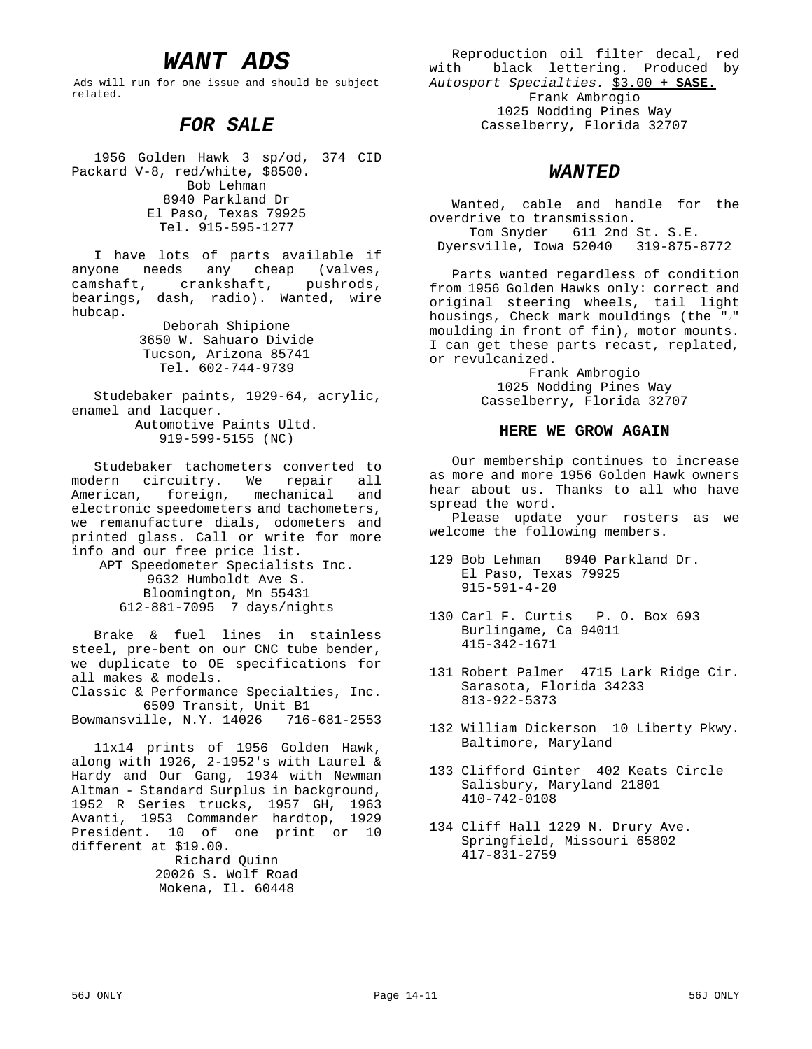# *WANT ADS*

Ads will run for one issue and should be subject related.

### *FOR SALE*

1956 Golden Hawk 3 sp/od, 374 CID Packard V-8, red/white, \$8500. Bob Lehman 8940 Parkland Dr El Paso, Texas 79925 Tel. 915-595-1277

I have lots of parts available if anyone needs any cheap (valves, camshaft, crankshaft, pushrods, bearings, dash, radio). Wanted, wire hubcap.

> Deborah Shipione 3650 W. Sahuaro Divide Tucson, Arizona 85741 Tel. 602-744-9739

Studebaker paints, 1929-64, acrylic, enamel and lacquer. Automotive Paints Ultd. 919-599-5155 (NC)

Studebaker tachometers converted to modern circuitry. We repair all American, foreign, mechanical and electronic speedometers and tachometers, we remanufacture dials, odometers and printed glass. Call or write for more info and our free price list.

APT Speedometer Specialists Inc. 9632 Humboldt Ave S. Bloomington, Mn 55431 612-881-7095 7 days/nights

Brake & fuel lines in stainless steel, pre-bent on our CNC tube bender, we duplicate to OE specifications for all makes & models.

Classic & Performance Specialties, Inc. 6509 Transit, Unit B1

Bowmansville, N.Y. 14026 716-681-2553

11x14 prints of 1956 Golden Hawk, along with 1926, 2-1952's with Laurel & Hardy and Our Gang, 1934 with Newman Altman - Standard Surplus in background, 1952 R Series trucks, 1957 GH, 1963 Avanti, 1953 Commander hardtop, 1929 President. 10 of one print or 10 different at \$19.00.

> Richard Quinn 20026 S. Wolf Road Mokena, Il. 60448

Reproduction oil filter decal, red with black lettering. Produced by *Autosport Specialties.* \$3.00 **+ SASE**. Frank Ambrogio 1025 Nodding Pines Way Casselberry, Florida 32707

#### *WANTED*

Wanted, cable and handle for the overdrive to transmission. Tom Snyder 611 2nd St. S.E. Dyersville, Iowa 52040 319-875-8772

Parts wanted regardless of condition from 1956 Golden Hawks only: correct and original steering wheels, tail light housings, Check mark mouldings (the  $\sqrt[m]{ }$ " moulding in front of fin), motor mounts. I can get these parts recast, replated, or revulcanized.

> Frank Ambrogio 1025 Nodding Pines Way Casselberry, Florida 32707

#### **HERE WE GROW AGAIN**

Our membership continues to increase as more and more 1956 Golden Hawk owners hear about us. Thanks to all who have spread the word.

Please update your rosters as we welcome the following members.

- 129 Bob Lehman 8940 Parkland Dr. El Paso, Texas 79925 915-591-4-20
- 130 Carl F. Curtis P. O. Box 693 Burlingame, Ca 94011 415-342-1671
- 131 Robert Palmer 4715 Lark Ridge Cir. Sarasota, Florida 34233 813-922-5373
- 132 William Dickerson 10 Liberty Pkwy. Baltimore, Maryland
- 133 Clifford Ginter 402 Keats Circle Salisbury, Maryland 21801 410-742-0108
- 134 Cliff Hall 1229 N. Drury Ave. Springfield, Missouri 65802 417-831-2759